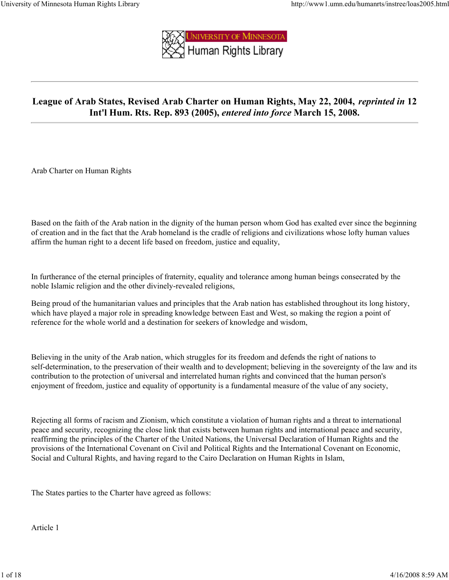

## League of Arab States, Revised Arab Charter on Human Rights, May 22, 2004, reprinted in 12 Int'l Hum. Rts. Rep. 893 (2005), entered into force March 15, 2008.

Arab Charter on Human Rights

Based on the faith of the Arab nation in the dignity of the human person whom God has exalted ever since the beginning of creation and in the fact that the Arab homeland is the cradle of religions and civilizations whose lofty human values affirm the human right to a decent life based on freedom, justice and equality,

In furtherance of the eternal principles of fraternity, equality and tolerance among human beings consecrated by the noble Islamic religion and the other divinely-revealed religions,

Being proud of the humanitarian values and principles that the Arab nation has established throughout its long history, which have played a major role in spreading knowledge between East and West, so making the region a point of reference for the whole world and a destination for seekers of knowledge and wisdom,

Believing in the unity of the Arab nation, which struggles for its freedom and defends the right of nations to self-determination, to the preservation of their wealth and to development; believing in the sovereignty of the law and its contribution to the protection of universal and interrelated human rights and convinced that the human person's enjoyment of freedom, justice and equality of opportunity is a fundamental measure of the value of any society,

Rejecting all forms of racism and Zionism, which constitute a violation of human rights and a threat to international peace and security, recognizing the close link that exists between human rights and international peace and security, reaffirming the principles of the Charter of the United Nations, the Universal Declaration of Human Rights and the provisions of the International Covenant on Civil and Political Rights and the International Covenant on Economic, Social and Cultural Rights, and having regard to the Cairo Declaration on Human Rights in Islam,

The States parties to the Charter have agreed as follows: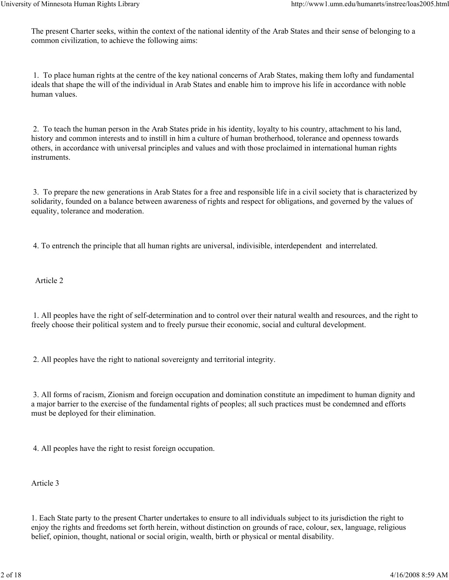The present Charter seeks, within the context of the national identity of the Arab States and their sense of belonging to a common civilization, to achieve the following aims:

 1. To place human rights at the centre of the key national concerns of Arab States, making them lofty and fundamental ideals that shape the will of the individual in Arab States and enable him to improve his life in accordance with noble human values.

 2. To teach the human person in the Arab States pride in his identity, loyalty to his country, attachment to his land, history and common interests and to instill in him a culture of human brotherhood, tolerance and openness towards others, in accordance with universal principles and values and with those proclaimed in international human rights instruments.

 3. To prepare the new generations in Arab States for a free and responsible life in a civil society that is characterized by solidarity, founded on a balance between awareness of rights and respect for obligations, and governed by the values of equality, tolerance and moderation.

4. To entrench the principle that all human rights are universal, indivisible, interdependent and interrelated.

Article 2

 1. All peoples have the right of self-determination and to control over their natural wealth and resources, and the right to freely choose their political system and to freely pursue their economic, social and cultural development.

2. All peoples have the right to national sovereignty and territorial integrity.

 3. All forms of racism, Zionism and foreign occupation and domination constitute an impediment to human dignity and a major barrier to the exercise of the fundamental rights of peoples; all such practices must be condemned and efforts must be deployed for their elimination.

4. All peoples have the right to resist foreign occupation.

Article 3

1. Each State party to the present Charter undertakes to ensure to all individuals subject to its jurisdiction the right to enjoy the rights and freedoms set forth herein, without distinction on grounds of race, colour, sex, language, religious belief, opinion, thought, national or social origin, wealth, birth or physical or mental disability.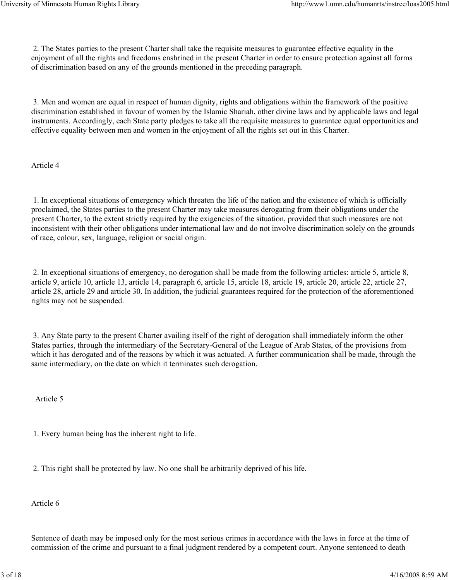2. The States parties to the present Charter shall take the requisite measures to guarantee effective equality in the enjoyment of all the rights and freedoms enshrined in the present Charter in order to ensure protection against all forms of discrimination based on any of the grounds mentioned in the preceding paragraph.

 3. Men and women are equal in respect of human dignity, rights and obligations within the framework of the positive discrimination established in favour of women by the Islamic Shariah, other divine laws and by applicable laws and legal instruments. Accordingly, each State party pledges to take all the requisite measures to guarantee equal opportunities and effective equality between men and women in the enjoyment of all the rights set out in this Charter.

Article 4

 1. In exceptional situations of emergency which threaten the life of the nation and the existence of which is officially proclaimed, the States parties to the present Charter may take measures derogating from their obligations under the present Charter, to the extent strictly required by the exigencies of the situation, provided that such measures are not inconsistent with their other obligations under international law and do not involve discrimination solely on the grounds of race, colour, sex, language, religion or social origin.

 2. In exceptional situations of emergency, no derogation shall be made from the following articles: article 5, article 8, article 9, article 10, article 13, article 14, paragraph 6, article 15, article 18, article 19, article 20, article 22, article 27, article 28, article 29 and article 30. In addition, the judicial guarantees required for the protection of the aforementioned rights may not be suspended.

 3. Any State party to the present Charter availing itself of the right of derogation shall immediately inform the other States parties, through the intermediary of the Secretary-General of the League of Arab States, of the provisions from which it has derogated and of the reasons by which it was actuated. A further communication shall be made, through the same intermediary, on the date on which it terminates such derogation.

Article 5

1. Every human being has the inherent right to life.

2. This right shall be protected by law. No one shall be arbitrarily deprived of his life.

Article 6

Sentence of death may be imposed only for the most serious crimes in accordance with the laws in force at the time of commission of the crime and pursuant to a final judgment rendered by a competent court. Anyone sentenced to death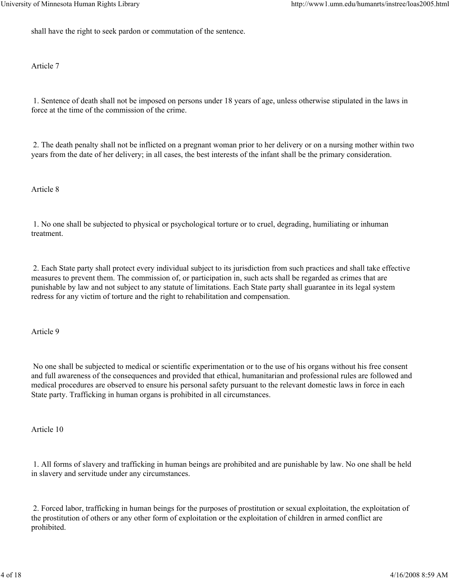shall have the right to seek pardon or commutation of the sentence.

Article 7

 1. Sentence of death shall not be imposed on persons under 18 years of age, unless otherwise stipulated in the laws in force at the time of the commission of the crime.

 2. The death penalty shall not be inflicted on a pregnant woman prior to her delivery or on a nursing mother within two years from the date of her delivery; in all cases, the best interests of the infant shall be the primary consideration.

Article 8

 1. No one shall be subjected to physical or psychological torture or to cruel, degrading, humiliating or inhuman treatment.

 2. Each State party shall protect every individual subject to its jurisdiction from such practices and shall take effective measures to prevent them. The commission of, or participation in, such acts shall be regarded as crimes that are punishable by law and not subject to any statute of limitations. Each State party shall guarantee in its legal system redress for any victim of torture and the right to rehabilitation and compensation.

Article 9

 No one shall be subjected to medical or scientific experimentation or to the use of his organs without his free consent and full awareness of the consequences and provided that ethical, humanitarian and professional rules are followed and medical procedures are observed to ensure his personal safety pursuant to the relevant domestic laws in force in each State party. Trafficking in human organs is prohibited in all circumstances.

Article 10

 1. All forms of slavery and trafficking in human beings are prohibited and are punishable by law. No one shall be held in slavery and servitude under any circumstances.

 2. Forced labor, trafficking in human beings for the purposes of prostitution or sexual exploitation, the exploitation of the prostitution of others or any other form of exploitation or the exploitation of children in armed conflict are prohibited.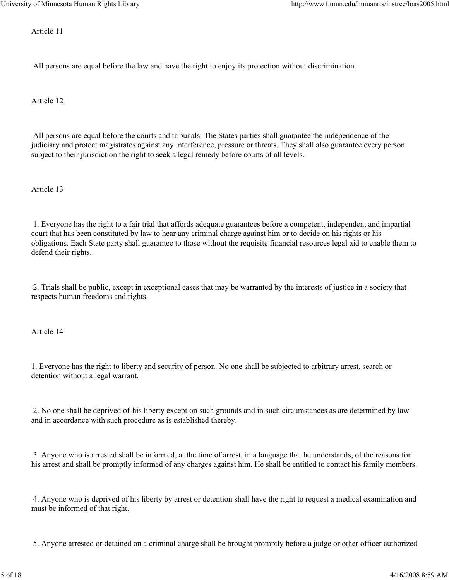All persons are equal before the law and have the right to enjoy its protection without discrimination.

Article 12

 All persons are equal before the courts and tribunals. The States parties shall guarantee the independence of the judiciary and protect magistrates against any interference, pressure or threats. They shall also guarantee every person subject to their jurisdiction the right to seek a legal remedy before courts of all levels.

Article 13

 1. Everyone has the right to a fair trial that affords adequate guarantees before a competent, independent and impartial court that has been constituted by law to hear any criminal charge against him or to decide on his rights or his obligations. Each State party shall guarantee to those without the requisite financial resources legal aid to enable them to defend their rights.

 2. Trials shall be public, except in exceptional cases that may be warranted by the interests of justice in a society that respects human freedoms and rights.

Article 14

1. Everyone has the right to liberty and security of person. No one shall be subjected to arbitrary arrest, search or detention without a legal warrant.

 2. No one shall be deprived of-his liberty except on such grounds and in such circumstances as are determined by law and in accordance with such procedure as is established thereby.

 3. Anyone who is arrested shall be informed, at the time of arrest, in a language that he understands, of the reasons for his arrest and shall be promptly informed of any charges against him. He shall be entitled to contact his family members.

 4. Anyone who is deprived of his liberty by arrest or detention shall have the right to request a medical examination and must be informed of that right.

5. Anyone arrested or detained on a criminal charge shall be brought promptly before a judge or other officer authorized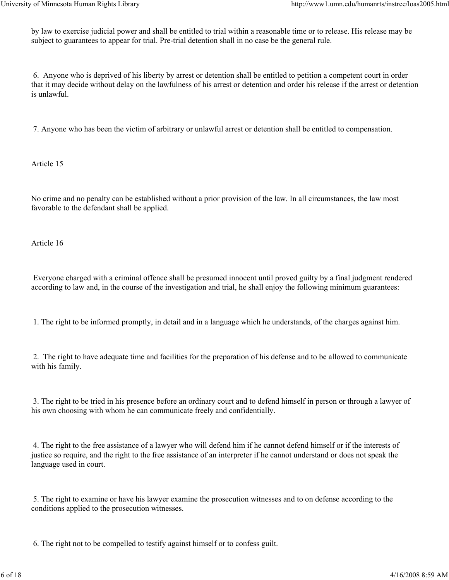by law to exercise judicial power and shall be entitled to trial within a reasonable time or to release. His release may be subject to guarantees to appear for trial. Pre-trial detention shall in no case be the general rule.

 6. Anyone who is deprived of his liberty by arrest or detention shall be entitled to petition a competent court in order that it may decide without delay on the lawfulness of his arrest or detention and order his release if the arrest or detention is unlawful.

7. Anyone who has been the victim of arbitrary or unlawful arrest or detention shall be entitled to compensation.

Article 15

No crime and no penalty can be established without a prior provision of the law. In all circumstances, the law most favorable to the defendant shall be applied.

Article 16

 Everyone charged with a criminal offence shall be presumed innocent until proved guilty by a final judgment rendered according to law and, in the course of the investigation and trial, he shall enjoy the following minimum guarantees:

1. The right to be informed promptly, in detail and in a language which he understands, of the charges against him.

 2. The right to have adequate time and facilities for the preparation of his defense and to be allowed to communicate with his family.

 3. The right to be tried in his presence before an ordinary court and to defend himself in person or through a lawyer of his own choosing with whom he can communicate freely and confidentially.

 4. The right to the free assistance of a lawyer who will defend him if he cannot defend himself or if the interests of justice so require, and the right to the free assistance of an interpreter if he cannot understand or does not speak the language used in court.

 5. The right to examine or have his lawyer examine the prosecution witnesses and to on defense according to the conditions applied to the prosecution witnesses.

6. The right not to be compelled to testify against himself or to confess guilt.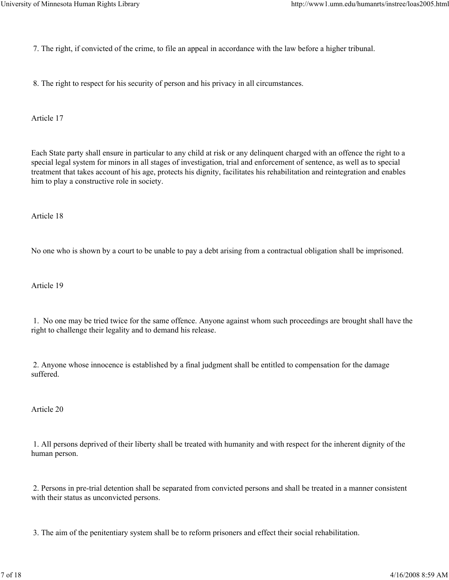7. The right, if convicted of the crime, to file an appeal in accordance with the law before a higher tribunal.

8. The right to respect for his security of person and his privacy in all circumstances.

Article 17

Each State party shall ensure in particular to any child at risk or any delinquent charged with an offence the right to a special legal system for minors in all stages of investigation, trial and enforcement of sentence, as well as to special treatment that takes account of his age, protects his dignity, facilitates his rehabilitation and reintegration and enables him to play a constructive role in society.

Article 18

No one who is shown by a court to be unable to pay a debt arising from a contractual obligation shall be imprisoned.

Article 19

 1. No one may be tried twice for the same offence. Anyone against whom such proceedings are brought shall have the right to challenge their legality and to demand his release.

 2. Anyone whose innocence is established by a final judgment shall be entitled to compensation for the damage suffered.

Article 20

 1. All persons deprived of their liberty shall be treated with humanity and with respect for the inherent dignity of the human person.

 2. Persons in pre-trial detention shall be separated from convicted persons and shall be treated in a manner consistent with their status as unconvicted persons.

3. The aim of the penitentiary system shall be to reform prisoners and effect their social rehabilitation.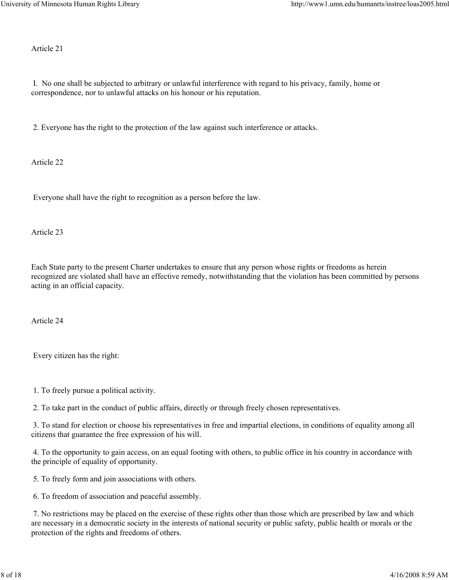I. No one shall be subjected to arbitrary or unlawful interference with regard to his privacy, family, home or correspondence, nor to unlawful attacks on his honour or his reputation.

2. Everyone has the right to the protection of the law against such interference or attacks.

Article 22

Everyone shall have the right to recognition as a person before the law.

Article 23

Each State party to the present Charter undertakes to ensure that any person whose rights or freedoms as herein recognized are violated shall have an effective remedy, notwithstanding that the violation has been committed by persons acting in an official capacity.

Article 24

Every citizen has the right:

1. To freely pursue a political activity.

2. To take part in the conduct of public affairs, directly or through freely chosen representatives.

 3. To stand for election or choose his representatives in free and impartial elections, in conditions of equality among all citizens that guarantee the free expression of his will.

 4. To the opportunity to gain access, on an equal footing with others, to public office in his country in accordance with the principle of equality of opportunity.

5. To freely form and join associations with others.

6. To freedom of association and peaceful assembly.

 7. No restrictions may be placed on the exercise of these rights other than those which are prescribed by law and which are necessary in a democratic society in the interests of national security or public safety, public health or morals or the protection of the rights and freedoms of others.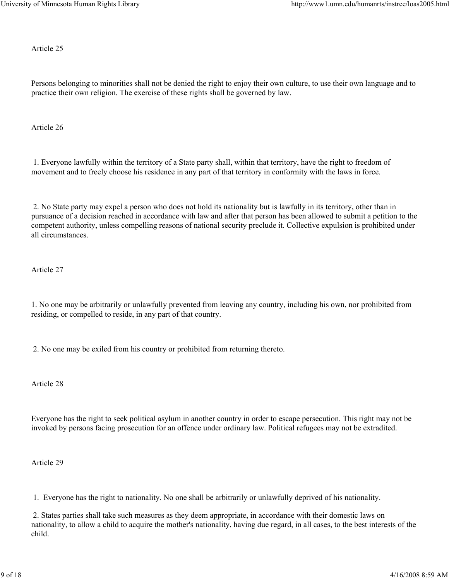Persons belonging to minorities shall not be denied the right to enjoy their own culture, to use their own language and to practice their own religion. The exercise of these rights shall be governed by law.

Article 26

 1. Everyone lawfully within the territory of a State party shall, within that territory, have the right to freedom of movement and to freely choose his residence in any part of that territory in conformity with the laws in force.

 2. No State party may expel a person who does not hold its nationality but is lawfully in its territory, other than in pursuance of a decision reached in accordance with law and after that person has been allowed to submit a petition to the competent authority, unless compelling reasons of national security preclude it. Collective expulsion is prohibited under all circumstances.

Article 27

1. No one may be arbitrarily or unlawfully prevented from leaving any country, including his own, nor prohibited from residing, or compelled to reside, in any part of that country.

2. No one may be exiled from his country or prohibited from returning thereto.

Article 28

Everyone has the right to seek political asylum in another country in order to escape persecution. This right may not be invoked by persons facing prosecution for an offence under ordinary law. Political refugees may not be extradited.

Article 29

1. Everyone has the right to nationality. No one shall be arbitrarily or unlawfully deprived of his nationality.

 2. States parties shall take such measures as they deem appropriate, in accordance with their domestic laws on nationality, to allow a child to acquire the mother's nationality, having due regard, in all cases, to the best interests of the child.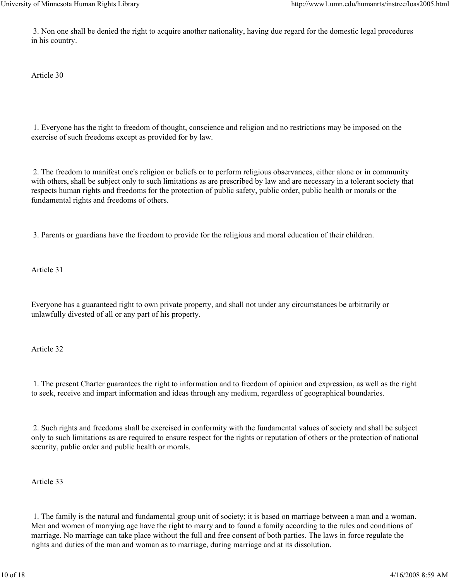3. Non one shall be denied the right to acquire another nationality, having due regard for the domestic legal procedures in his country.

Article 30

 1. Everyone has the right to freedom of thought, conscience and religion and no restrictions may be imposed on the exercise of such freedoms except as provided for by law.

 2. The freedom to manifest one's religion or beliefs or to perform religious observances, either alone or in community with others, shall be subject only to such limitations as are prescribed by law and are necessary in a tolerant society that respects human rights and freedoms for the protection of public safety, public order, public health or morals or the fundamental rights and freedoms of others.

3. Parents or guardians have the freedom to provide for the religious and moral education of their children.

Article 31

Everyone has a guaranteed right to own private property, and shall not under any circumstances be arbitrarily or unlawfully divested of all or any part of his property.

Article 32

 1. The present Charter guarantees the right to information and to freedom of opinion and expression, as well as the right to seek, receive and impart information and ideas through any medium, regardless of geographical boundaries.

 2. Such rights and freedoms shall be exercised in conformity with the fundamental values of society and shall be subject only to such limitations as are required to ensure respect for the rights or reputation of others or the protection of national security, public order and public health or morals.

Article 33

 1. The family is the natural and fundamental group unit of society; it is based on marriage between a man and a woman. Men and women of marrying age have the right to marry and to found a family according to the rules and conditions of marriage. No marriage can take place without the full and free consent of both parties. The laws in force regulate the rights and duties of the man and woman as to marriage, during marriage and at its dissolution.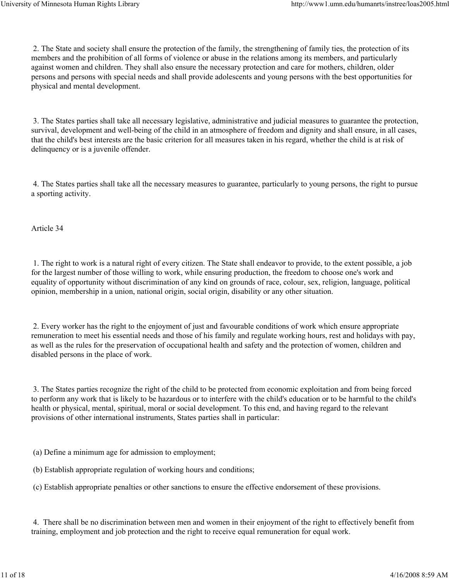2. The State and society shall ensure the protection of the family, the strengthening of family ties, the protection of its members and the prohibition of all forms of violence or abuse in the relations among its members, and particularly against women and children. They shall also ensure the necessary protection and care for mothers, children, older persons and persons with special needs and shall provide adolescents and young persons with the best opportunities for physical and mental development.

 3. The States parties shall take all necessary legislative, administrative and judicial measures to guarantee the protection, survival, development and well-being of the child in an atmosphere of freedom and dignity and shall ensure, in all cases, that the child's best interests are the basic criterion for all measures taken in his regard, whether the child is at risk of delinquency or is a juvenile offender.

 4. The States parties shall take all the necessary measures to guarantee, particularly to young persons, the right to pursue a sporting activity.

Article 34

 1. The right to work is a natural right of every citizen. The State shall endeavor to provide, to the extent possible, a job for the largest number of those willing to work, while ensuring production, the freedom to choose one's work and equality of opportunity without discrimination of any kind on grounds of race, colour, sex, religion, language, political opinion, membership in a union, national origin, social origin, disability or any other situation.

 2. Every worker has the right to the enjoyment of just and favourable conditions of work which ensure appropriate remuneration to meet his essential needs and those of his family and regulate working hours, rest and holidays with pay, as well as the rules for the preservation of occupational health and safety and the protection of women, children and disabled persons in the place of work.

 3. The States parties recognize the right of the child to be protected from economic exploitation and from being forced to perform any work that is likely to be hazardous or to interfere with the child's education or to be harmful to the child's health or physical, mental, spiritual, moral or social development. To this end, and having regard to the relevant provisions of other international instruments, States parties shall in particular:

(a) Define a minimum age for admission to employment;

(b) Establish appropriate regulation of working hours and conditions;

(c) Establish appropriate penalties or other sanctions to ensure the effective endorsement of these provisions.

 4. There shall be no discrimination between men and women in their enjoyment of the right to effectively benefit from training, employment and job protection and the right to receive equal remuneration for equal work.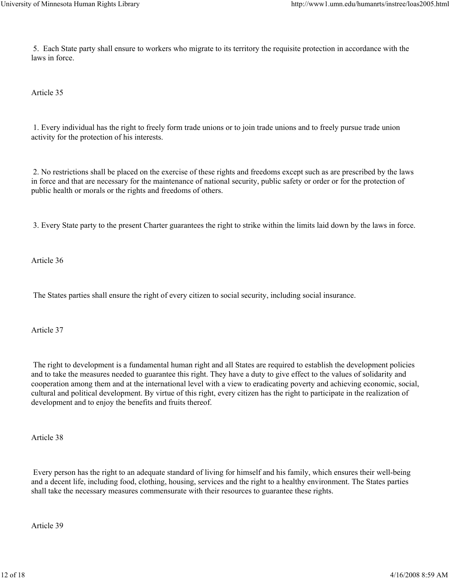5. Each State party shall ensure to workers who migrate to its territory the requisite protection in accordance with the laws in force.

Article 35

 1. Every individual has the right to freely form trade unions or to join trade unions and to freely pursue trade union activity for the protection of his interests.

 2. No restrictions shall be placed on the exercise of these rights and freedoms except such as are prescribed by the laws in force and that are necessary for the maintenance of national security, public safety or order or for the protection of public health or morals or the rights and freedoms of others.

3. Every State party to the present Charter guarantees the right to strike within the limits laid down by the laws in force.

Article 36

The States parties shall ensure the right of every citizen to social security, including social insurance.

Article 37

 The right to development is a fundamental human right and all States are required to establish the development policies and to take the measures needed to guarantee this right. They have a duty to give effect to the values of solidarity and cooperation among them and at the international level with a view to eradicating poverty and achieving economic, social, cultural and political development. By virtue of this right, every citizen has the right to participate in the realization of development and to enjoy the benefits and fruits thereof.

Article 38

 Every person has the right to an adequate standard of living for himself and his family, which ensures their well-being and a decent life, including food, clothing, housing, services and the right to a healthy environment. The States parties shall take the necessary measures commensurate with their resources to guarantee these rights.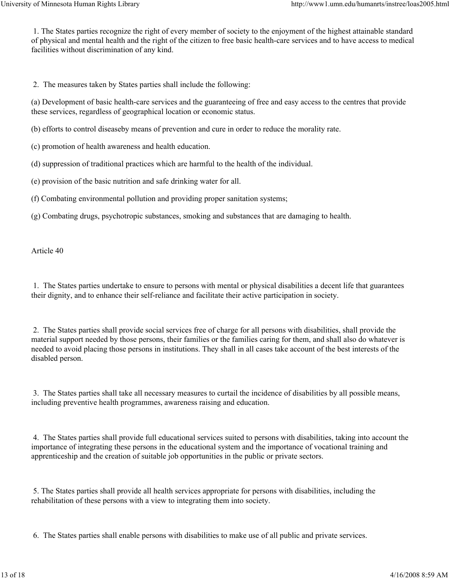1. The States parties recognize the right of every member of society to the enjoyment of the highest attainable standard of physical and mental health and the right of the citizen to free basic health-care services and to have access to medical facilities without discrimination of any kind.

2. The measures taken by States parties shall include the following:

(a) Development of basic health-care services and the guaranteeing of free and easy access to the centres that provide these services, regardless of geographical location or economic status.

(b) efforts to control diseaseby means of prevention and cure in order to reduce the morality rate.

- (c) promotion of health awareness and health education.
- (d) suppression of traditional practices which are harmful to the health of the individual.
- (e) provision of the basic nutrition and safe drinking water for all.
- (f) Combating environmental pollution and providing proper sanitation systems;

(g) Combating drugs, psychotropic substances, smoking and substances that are damaging to health.

Article 40

 1. The States parties undertake to ensure to persons with mental or physical disabilities a decent life that guarantees their dignity, and to enhance their self-reliance and facilitate their active participation in society.

 2. The States parties shall provide social services free of charge for all persons with disabilities, shall provide the material support needed by those persons, their families or the families caring for them, and shall also do whatever is needed to avoid placing those persons in institutions. They shall in all cases take account of the best interests of the disabled person.

 3. The States parties shall take all necessary measures to curtail the incidence of disabilities by all possible means, including preventive health programmes, awareness raising and education.

 4. The States parties shall provide full educational services suited to persons with disabilities, taking into account the importance of integrating these persons in the educational system and the importance of vocational training and apprenticeship and the creation of suitable job opportunities in the public or private sectors.

 5. The States parties shall provide all health services appropriate for persons with disabilities, including the rehabilitation of these persons with a view to integrating them into society.

6. The States parties shall enable persons with disabilities to make use of all public and private services.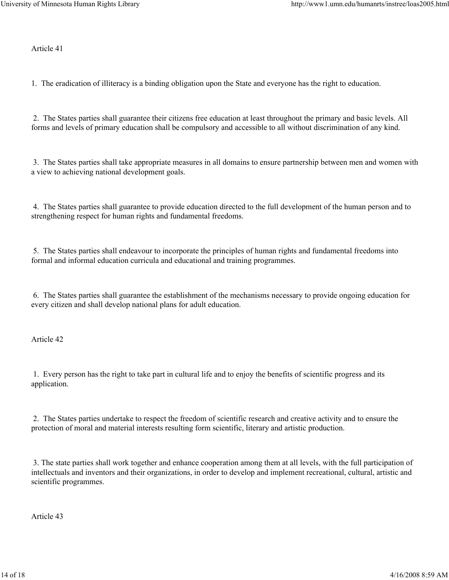1. The eradication of illiteracy is a binding obligation upon the State and everyone has the right to education.

 2. The States parties shall guarantee their citizens free education at least throughout the primary and basic levels. All forms and levels of primary education shall be compulsory and accessible to all without discrimination of any kind.

 3. The States parties shall take appropriate measures in all domains to ensure partnership between men and women with a view to achieving national development goals.

 4. The States parties shall guarantee to provide education directed to the full development of the human person and to strengthening respect for human rights and fundamental freedoms.

 5. The States parties shall endeavour to incorporate the principles of human rights and fundamental freedoms into formal and informal education curricula and educational and training programmes.

 6. The States parties shall guarantee the establishment of the mechanisms necessary to provide ongoing education for every citizen and shall develop national plans for adult education.

Article 42

 1. Every person has the right to take part in cultural life and to enjoy the benefits of scientific progress and its application.

 2. The States parties undertake to respect the freedom of scientific research and creative activity and to ensure the protection of moral and material interests resulting form scientific, literary and artistic production.

 3. The state parties shall work together and enhance cooperation among them at all levels, with the full participation of intellectuals and inventors and their organizations, in order to develop and implement recreational, cultural, artistic and scientific programmes.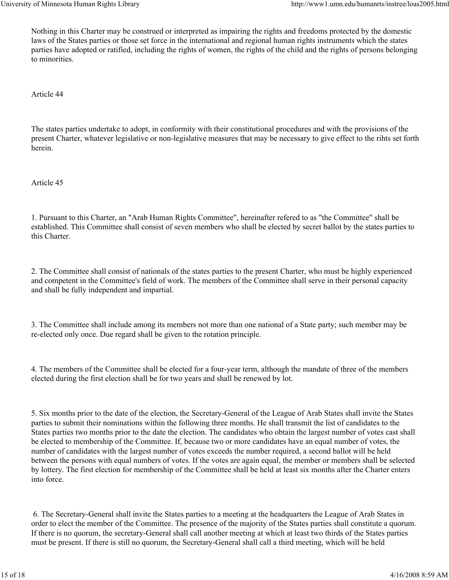Nothing in this Charter may be construed or interpreted as impairing the rights and freedoms protected by the domestic laws of the States parties or those set force in the international and regional human rights instruments which the states parties have adopted or ratified, including the rights of women, the rights of the child and the rights of persons belonging to minorities.

Article 44

The states parties undertake to adopt, in conformity with their constitutional procedures and with the provisions of the present Charter, whatever legislative or non-legislative measures that may be necessary to give effect to the rihts set forth herein.

Article 45

1. Pursuant to this Charter, an "Arab Human Rights Committee", hereinafter refered to as "the Committee" shall be established. This Committee shall consist of seven members who shall be elected by secret ballot by the states parties to this Charter.

2. The Committee shall consist of nationals of the states parties to the present Charter, who must be highly experienced and competent in the Committee's field of work. The members of the Committee shall serve in their personal capacity and shall be fully independent and impartial.

3. The Committee shall include among its members not more than one national of a State party; such member may be re-elected only once. Due regard shall be given to the rotation principle.

4. The members of the Committee shall be elected for a four-year term, although the mandate of three of the members elected during the first election shall be for two years and shall be renewed by lot.

5. Six months prior to the date of the election, the Secretary-General of the League of Arab States shall invite the States parties to submit their nominations within the following three months. He shall transmit the list of candidates to the States parties two months prior to the date the election. The candidates who obtain the largest number of votes cast shall be elected to membership of the Committee. If, because two or more candidates have an equal number of votes, the number of candidates with the largest number of votes exceeds the number required, a second ballot will be held between the persons with equal numbers of votes. If the votes are again equal, the member or members shall be selected by lottery. The first election for membership of the Committee shall be held at least six months after the Charter enters into force.

 6. The Secretary-General shall invite the States parties to a meeting at the headquarters the League of Arab States in order to elect the member of the Committee. The presence of the majority of the States parties shall constitute a quorum. If there is no quorum, the secretary-General shall call another meeting at which at least two thirds of the States parties must be present. If there is still no quorum, the Secretary-General shall call a third meeting, which will be held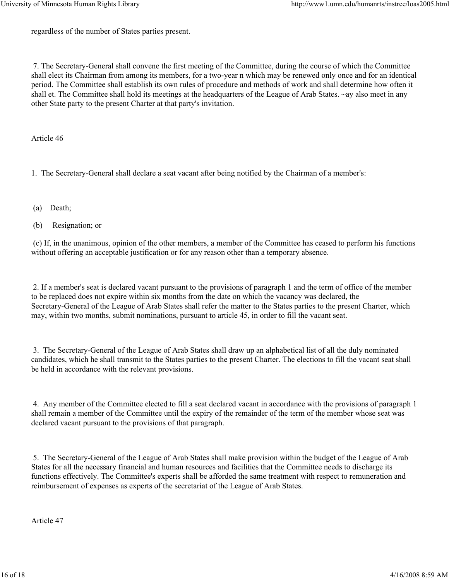regardless of the number of States parties present.

 7. The Secretary-General shall convene the first meeting of the Committee, during the course of which the Committee shall elect its Chairman from among its members, for a two-year n which may be renewed only once and for an identical period. The Committee shall establish its own rules of procedure and methods of work and shall determine how often it shall et. The Committee shall hold its meetings at the headquarters of the League of Arab States. ~ay also meet in any other State party to the present Charter at that party's invitation.

Article 46

1. The Secretary-General shall declare a seat vacant after being notified by the Chairman of a member's:

(a) Death;

(b) Resignation; or

 (c) If, in the unanimous, opinion of the other members, a member of the Committee has ceased to perform his functions without offering an acceptable justification or for any reason other than a temporary absence.

 2. If a member's seat is declared vacant pursuant to the provisions of paragraph 1 and the term of office of the member to be replaced does not expire within six months from the date on which the vacancy was declared, the Secretary-General of the League of Arab States shall refer the matter to the States parties to the present Charter, which may, within two months, submit nominations, pursuant to article 45, in order to fill the vacant seat.

 3. The Secretary-General of the League of Arab States shall draw up an alphabetical list of all the duly nominated candidates, which he shall transmit to the States parties to the present Charter. The elections to fill the vacant seat shall be held in accordance with the relevant provisions.

 4. Any member of the Committee elected to fill a seat declared vacant in accordance with the provisions of paragraph 1 shall remain a member of the Committee until the expiry of the remainder of the term of the member whose seat was declared vacant pursuant to the provisions of that paragraph.

 5. The Secretary-General of the League of Arab States shall make provision within the budget of the League of Arab States for all the necessary financial and human resources and facilities that the Committee needs to discharge its functions effectively. The Committee's experts shall be afforded the same treatment with respect to remuneration and reimbursement of expenses as experts of the secretariat of the League of Arab States.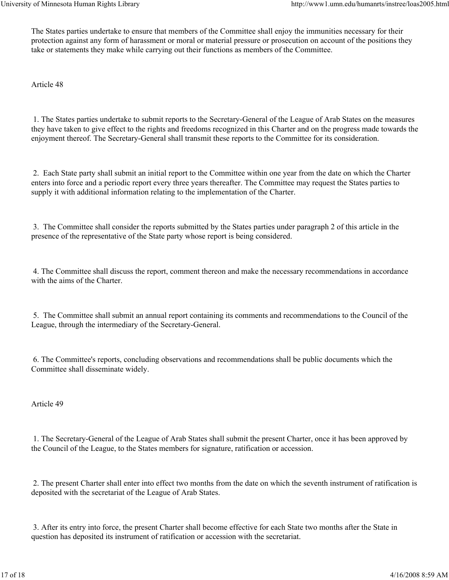The States parties undertake to ensure that members of the Committee shall enjoy the immunities necessary for their protection against any form of harassment or moral or material pressure or prosecution on account of the positions they take or statements they make while carrying out their functions as members of the Committee.

Article 48

 1. The States parties undertake to submit reports to the Secretary-General of the League of Arab States on the measures they have taken to give effect to the rights and freedoms recognized in this Charter and on the progress made towards the enjoyment thereof. The Secretary-General shall transmit these reports to the Committee for its consideration.

 2. Each State party shall submit an initial report to the Committee within one year from the date on which the Charter enters into force and a periodic report every three years thereafter. The Committee may request the States parties to supply it with additional information relating to the implementation of the Charter.

 3. The Committee shall consider the reports submitted by the States parties under paragraph 2 of this article in the presence of the representative of the State party whose report is being considered.

 4. The Committee shall discuss the report, comment thereon and make the necessary recommendations in accordance with the aims of the Charter.

 5. The Committee shall submit an annual report containing its comments and recommendations to the Council of the League, through the intermediary of the Secretary-General.

 6. The Committee's reports, concluding observations and recommendations shall be public documents which the Committee shall disseminate widely.

Article 49

 1. The Secretary-General of the League of Arab States shall submit the present Charter, once it has been approved by the Council of the League, to the States members for signature, ratification or accession.

 2. The present Charter shall enter into effect two months from the date on which the seventh instrument of ratification is deposited with the secretariat of the League of Arab States.

 3. After its entry into force, the present Charter shall become effective for each State two months after the State in question has deposited its instrument of ratification or accession with the secretariat.